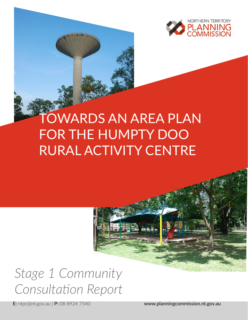

# TOWARDS AN AREA PLAN FOR THE HUMPTY DOO RURAL ACTIVITY CENTRE

# *Stage 1 Community Consultation Report*

**E:** ntpc@nt.gov.au | **P:** 08 8924 7540 **www.planningcommission.nt.gov.au**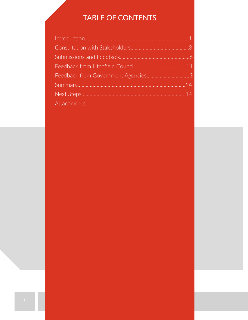# TABLE OF CONTENTS

| Attachments |  |
|-------------|--|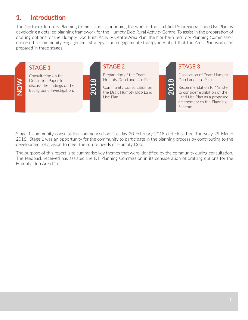## 1. Introduction

The Northern Territory Planning Commission is continuing the work of the Litchfield Subregional Land Use Plan by developing a detailed planning framework for the Humpty Doo Rural Activity Centre. To assist in the preparation of drafting options for the Humpty Doo Rural Activity Centre Area Plan, the Northern Territory Planning Commission endorsed a Community Engagement Strategy. The engagement strategy identified that the Area Plan would be prepared in three stages.

#### STAGE 1

**NOW**

Consultation on the Discussion Paper to discuss the findings of the Background Investigation.

## STAGE 2

**201** 

Preparation of the Draft Humpty Doo Land Use Plan

Community Consultation on the Draft Humpty Doo Land Use Plan

STAGE 3

**2018**

Finalisation of Draft Humpty Doo Land Use Plan

Recommendation to Minister to consider exhibition of the Land Use Plan as a proposed amendment to the Planning Scheme

Stage 1 community consultation commenced on Tuesday 20 February 2018 and closed on Thursday 29 March 2018. Stage 1 was an opportunity for the community to participate in the planning process by contributing to the development of a vision to meet the future needs of Humpty Doo.

The purpose of this report is to summarise key themes that were identified by the community during consultation. The feedback received has assisted the NT Planning Commission in its consideration of drafting options for the Humpty Doo Area Plan.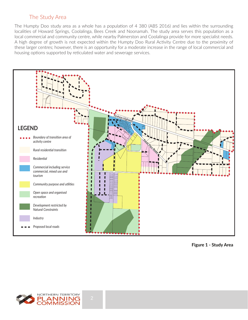## The Study Area

The Humpty Doo study area as a whole has a population of 4 380 (ABS 2016) and lies within the surrounding localities of Howard Springs, Coolalinga, Bees Creek and Noonamah. The study area serves this population as a local commercial and community centre, while nearby Palmerston and Coolalinga provide for more specialist needs. A high degree of growth is not expected within the Humpty Doo Rural Activity Centre due to the proximity of these larger centres; however, there is an opportunity for a moderate increase in the range of local commercial and housing options supported by reticulated water and sewerage services.



**Figure 1 - Study Area**

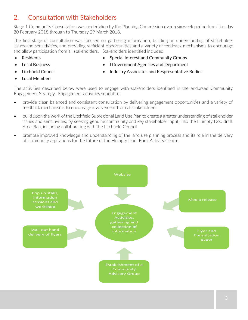## 2. Consultation with Stakeholders

Stage 1 Community Consultation was undertaken by the Planning Commission over a six week period from Tuesday 20 February 2018 through to Thursday 29 March 2018.

The first stage of consultation was focused on gathering information, building an understanding of stakeholder issues and sensitivities, and providing sufficient opportunities and a variety of feedback mechanisms to encourage and allow participation from all stakeholders. Stakeholders identified included:

• Residents

• Special Interest and Community Groups

**Local Business** 

LGovernment Agencies and Department • Industry Associates and Respresentative Bodies

Local Members

• Litchfield Council

The activities described below were used to engage with stakeholders identified in the endorsed Community Engagement Strategy. Engagement activities sought to:

- provide clear, balanced and consistent consultation by delivering engagement opportunities and a variety of feedback mechanisms to encourage involvement from all stakeholders
- build upon the work of the Litchfield Subregional Land Use Plan to create a greater understanding of stakeholder issues and sensitivities, by seeking genuine community and key stakeholder input, into the Humpty Doo draft Area Plan, including collaborating with the Litchfield Council
- promote improved knowledge and understanding of the land use planning process and its role in the delivery of community aspirations for the future of the Humpty Doo Rural Activity Centre

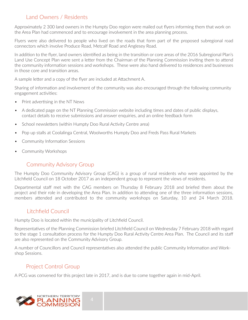## Land Owners / Residents

Approximately 2 300 land owners in the Humpty Doo region were mailed out flyers informing them that work on the Area Plan had commenced and to encourage involvement in the area planning process.

Flyers were also delivered to people who lived on the roads that form part of the proposed subregional road connectors which involve Produce Road, Metcalf Road and Anglesey Road.

In addition to the flyer, land owners identified as being in the transition or core areas of the 2016 Subregional Plan's Land Use Concept Plan were sent a letter from the Chairman of the Planning Commission inviting them to attend the community information sessions and workshops. These were also hand delivered to residences and businesses in those core and transition areas.

A sample letter and a copy of the flyer are included at Attachment A.

Sharing of information and involvement of the community was also encouraged through the following community engagement activities:

- Print advertising in the NT News
- A dedicated page on the NT Planning Commission website including times and dates of public displays, contact details to receive submissions and answer enquiries, and an online feedback form
- School newsletters (within Humpty Doo Rural Activity Centre area)
- Pop up stalls at Coolalinga Central, Woolworths Humpty Doo and Freds Pass Rural Markets
- Community Information Sessions
- Community Workshops

## Community Advisory Group

The Humpty Doo Community Advisory Group (CAG) is a group of rural residents who were appointed by the Litchfield Council on 18 October 2017 as an independent group to represent the views of residents.

Departmental staff met with the CAG members on Thursday 8 February 2018 and briefed them about the project and their role in developing the Area Plan. In addition to attending one of the three information sessions, members attended and contributed to the community workshops on Saturday, 10 and 24 March 2018.

## Litchfield Council

Humpty Doo is located within the municipality of Litchfield Council.

Representatives of the Planning Commission briefed Litchfield Council on Wednesday 7 February 2018 with regard to the stage 1 consultation process for the Humpty Doo Rural Activity Centre Area Plan. The Council and its staff are also represented on the Community Advisory Group.

A number of Councillors and Council representatives also attended the public Community Information and Workshop Sessions.

## Project Control Group

A PCG was convened for this project late in 2017, and is due to come together again in mid-April.

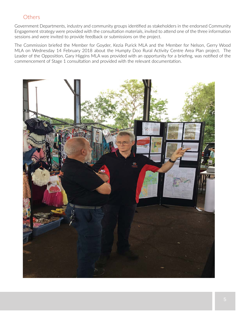#### **Others**

Government Departments, industry and community groups identified as stakeholders in the endorsed Community Engagement strategy were provided with the consultation materials, invited to attend one of the three information sessions and were invited to provide feedback or submissions on the project.

The Commission briefed the Member for Goyder, Kezia Purick MLA and the Member for Nelson, Gerry Wood MLA on Wednesday 14 February 2018 about the Humpty Doo Rural Activity Centre Area Plan project. The Leader of the Opposition, Gary Higgins MLA was provided with an opportunity for a briefing, was notified of the commencement of Stage 1 consultation and provided with the relevant documentation.

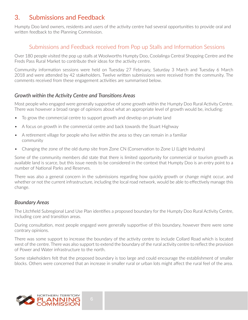## 3. Submissions and Feedback

Humpty Doo land owners, residents and users of the activity centre had several opportunities to provide oral and written feedback to the Planning Commission.

### Submissions and Feedback received from Pop up Stalls and Information Sessions

Over 180 people visited the pop up stalls at Woolworths Humpty Doo, Coolalinga Central Shopping Centre and the Freds Pass Rural Market to contribute their ideas for the activity centre.

Community information sessions were held on Tuesday 27 February, Saturday 3 March and Tuesday 6 March 2018 and were attended by 42 stakeholders. Twelve written submissions were received from the community. The comments received from these engagement activities are summarised below.

#### *Growth within the Activity Centre and Transitions Areas*

Most people who engaged were generally supportive of some growth within the Humpty Doo Rural Activity Centre. There was however a broad range of opinions about what an appropriate level of growth would be, including:

- To grow the commercial centre to support growth and develop on private land
- A focus on growth in the commercial centre and back towards the Stuart Highway
- A retirement village for people who live within the area so they can remain in a familiar community
- Changing the zone of the old dump site from Zone CN (Conservation to Zone LI (Light Industry)

Some of the community members did state that there is limited opportunity for commercial or tourism growth as available land is scarce, but this issue needs to be considered in the context that Humpty Doo is an entry point to a number of National Parks and Reserves.

There was also a general concern in the submissions regarding how quickly growth or change might occur, and whether or not the current infrastructure, including the local road network, would be able to effectively manage this change.

#### *Boundary Areas*

The Litchfield Subregional Land Use Plan identifies a proposed boundary for the Humpty Doo Rural Activity Centre, including core and transition areas.

During consultation, most people engaged were generally supportive of this boundary, however there were some contrary opinions.

There was some support to increase the boundary of the activity centre to include Collard Road which is located west of the centre. There was also support to extend the boundary of the rural activity centre to reflect the provision of Power and Water infrastructure to the north.

Some stakeholders felt that the proposed boundary is too large and could encourage the establishment of smaller blocks. Others were concerned that an increase in smaller rural or urban lots might affect the rural feel of the area.

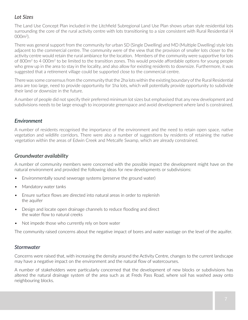#### *Lot Sizes*

The Land Use Concept Plan included in the Litchfield Subregional Land Use Plan shows urban style residential lots surrounding the core of the rural activity centre with lots transitioning to a size consistent with Rural Residential (4  $000<sup>m²</sup>$ 

There was general support from the community for urban SD (Single Dwelling) and MD (Multiple Dwelling) style lots adjacent to the commercial centre. The community were of the view that the provision of smaller lots closer to the activity centre would retain the rural ambiance for the location. Members of the community were supportive for lots of 800m2 to 4 000m2 to be limited to the transition zones. This would provide affordable options for young people who grew up in the area to stay in the locality, and also allow for existing residents to downsize. Furthermore, it was suggested that a retirement village could be supported close to the commercial centre.

There was some consensus from the community that the 2ha lots within the existing boundary of the Rural Residential area are too large, need to provide opportunity for 1ha lots, which will potentially provide opportunity to subdivide their land or downsize in the future.

A number of people did not specify their preferred minimum lot sizes but emphasised that any new development and subdivisions needs to be large enough to incorporate greenspace and avoid development where land is constrained.

#### *Environment*

A number of residents recognised the importance of the environment and the need to retain open space, native vegetation and wildlife corridors. There were also a number of suggestions by residents of retaining the native vegetation within the areas of Edwin Creek and Metcalfe Swamp, which are already constrained.

#### *Groundwater availability*

A number of community members were concerned with the possible impact the development might have on the natural environment and provided the following ideas for new developments or subdivisions:

- Environmentally sound sewerage systems (preserve the ground water)
- Mandatory water tanks
- Ensure surface flows are directed into natural areas in order to replenish the aquifer
- Design and locate open drainage channels to reduce flooding and direct the water flow to natural creeks
- Not impede those who currently rely on bore water

The community raised concerns about the negative impact of bores and water wastage on the level of the aquifer.

#### *Stormwater*

Concerns were raised that, with increasing the density around the Activity Centre, changes to the current landscape may have a negative impact on the environment and the natural flow of watercourses.

A number of stakeholders were particularly concerned that the development of new blocks or subdivisions has altered the natural drainage system of the area such as at Freds Pass Road, where soil has washed away onto neighbouring blocks.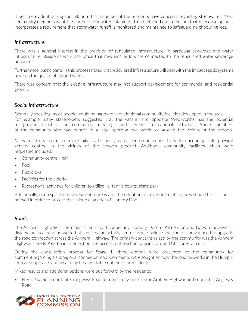It became evident during consultation that a number of the residents have concerns regarding stormwater. Most community members want the current stormwater catchment to be retained and to ensure that new development incorporates a requirement that stormwater runoff is monitored and maintained to safeguard neighbouring lots.

#### *Infrastructure*

There was a general interest in the provision of reticulated infrastructure, in particular sewerage and water infrastructure. Residents want assurance that new smaller lots are connected to the reticulated water sewerage networks.

Furthermore, participants in this process noted that reticulated infrastructure will deal with the impact septic systems have on the quality of ground water.

There was concern that the existing infrastructure may not support development for commercial and residential growth.

#### *Social Infrastructure*

Generally speaking, most people would be happy to see additional community facilities developed in the area.

For example many stakeholders suggested that the vacant land opposite Woolworths has the potential to provide facilities for community meetings and seniors' recreational activities. Some members of the community also saw benefit in a large sporting oval within or around the vicinity of the schools.

Many residents requested more bike paths and greater pedestrian connectivity to encourage safe physical activity centred in the vicinity of the schools precinct. Additional community facilities which were requested included:

- Community centre / hall
- Pool
- Public oval
- Facilities for the elderly
- Recreational activities for children to utilise i.e. tennis courts, skate park

Additionally, open space in new residential areas and the retention of environmental features should be prioritised in order to protect the unique character of Humpty Doo.

#### *Roads*

The Arnhem Highway is the major arterial road connecting Humpty Doo to Palmerston and Darwin, however it divides the local road network that services the activity centre. Some believe that there is now a need to upgrade the road connection across the Arnhem Highway. The primary concerns raised by the community was the Arnhem Highway / Freds Pass Road intersection and access to the school precinct around Challoner Circuit.

During the consultation process for Stage 1, three options were presented to the community for comment regarding a subregional connector road. Comments were sought on how the road networks in the Humpty Doo area operates and what may be a workable outcome for residents.

Mixed results and additional options were put forward by the residents:

• Freds Pass Road north of Strangways Road to run directly north to the Arnhem Highway and connect to Anglesey Road

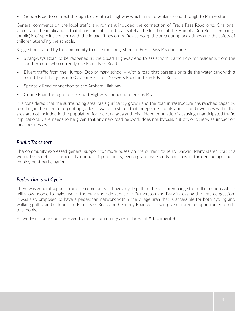• Goode Road to connect through to the Stuart Highway which links to Jenkins Road through to Palmerston

General comments on the local traffic environment included the connection of Freds Pass Road onto Challoner Circuit and the implications that it has for traffic and road safety. The location of the Humpty Doo Bus Interchange (public) is of specific concern with the impact it has on traffic accessing the area during peak times and the safety of children attending the schools.

Suggestions raised by the community to ease the congestion on Freds Pass Road include:

- Strangways Road to be reopened at the Stuart Highway end to assist with traffic flow for residents from the southern end who currently use Freds Pass Road
- Divert traffic from the Humpty Doo primary school with a road that passes alongside the water tank with a roundabout that joins into Challoner Circuit, Skewers Road and Freds Pass Road
- Spencely Road connection to the Arnhem Highway
- Goode Road through to the Stuart Highway connection Jenkins Road

It is considered that the surrounding area has significantly grown and the road infrastructure has reached capacity, resulting in the need for urgent upgrades. It was also stated that independent units and second dwellings within the area are not included in the population for the rural area and this hidden population is causing unanticipated traffic implications. Care needs to be given that any new road network does not bypass, cut off, or otherwise impact on local businesses.

#### *Public Transport*

The community expressed general support for more buses on the current route to Darwin. Many stated that this would be beneficial, particularly during off peak times, evening and weekends and may in turn encourage more employment participation.

#### *Pedestrian and Cycle*

There was general support from the community to have a cycle path to the bus interchange from all directions which will allow people to make use of the park and ride service to Palmerston and Darwin, easing the road congestion. It was also proposed to have a pedestrian network within the village area that is accessible for both cycling and walking paths, and extend it to Freds Pass Road and Kennedy Road which will give children an opportunity to ride to schools.

All written submissions received from the community are included at **Attachment B**.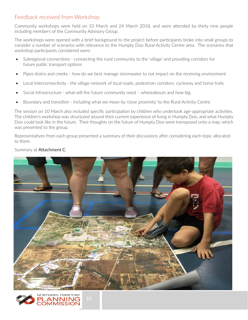## Feedback received from Workshop

Community workshops were held on 10 March and 24 March 2018, and were attended by thirty nine people including members of the Community Advisory Group.

The workshops were opened with a brief background to the project before participants broke into small groups to consider a number of scenarios with relevance to the Humpty Doo Rural Activity Centre area. The scenarios that workshop participants considered were:

- Subregional connections connecting the rural community to the 'village' and providing corridors for future public transport options
- Pipes drains and creeks how do we best manage stormwater to not impact on the receiving environment
- Local interconnectivity the village network of local roads, pedestrian corridors, cycleway and horse trails
- Social Infrastructure what will the future community need whereabouts and how big
- Boundary and transition including what we mean by 'close proximity' to the Rural Activity Centre

The session on 10 March also included specific participation by children who undertook age-appropriate activities. The children's workshop was structured around their current experience of living in Humpty Doo, and what Humpty Doo could look like in the future. Their thoughts on the future of Humpty Doo were transposed onto a map, which was presented to the group.

Representatives from each group presented a summary of their discussions after considering each topic allocated to them.

#### Summary at Attachment C.



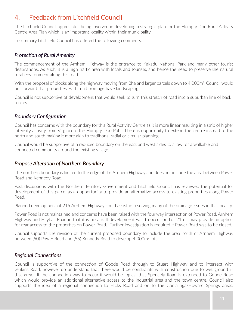## 4. Feedback from Litchfield Council

The Litchfield Council appreciates being involved in developing a strategic plan for the Humpty Doo Rural Activity Centre Area Plan which is an important locality within their municipality.

In summary Litchfield Council has offered the following comments.

#### *Protection of Rural Amenity*

The commencement of the Arnhem Highway is the entrance to Kakadu National Park and many other tourist destinations. As such, it is a high traffic area with locals and tourists, and hence the need to preserve the natural rural environment along this road.

With the proposal of blocks along the highway moving from 2ha and larger parcels down to 4 000m<sup>2</sup>. Council would put forward that properties with road frontage have landscaping.

Council is not supportive of development that would seek to turn this stretch of road into a suburban line of back fences.

#### *Boundary Configuration*

Council has concerns with the boundary for this Rural Activity Centre as it is more linear resulting in a strip of higher intensity activity from Virginia to the Humpty Doo Pub. There is opportunity to extend the centre instead to the north and south making it more akin to traditional radial or circular planning.

Council would be supportive of a reduced boundary on the east and west sides to allow for a walkable and connected community around the existing village.

#### *Propose Alteration of Northern Boundary*

The northern boundary is limited to the edge of the Arnhem Highway and does not include the area between Power Road and Kennedy Road.

Past discussions with the Northern Territory Government and Litchfield Council has reviewed the potential for development of this parcel as an opportunity to provide an alternative access to existing properties along Power Road.

Planned development of 215 Arnhem Highway could assist in resolving many of the drainage issues in this locality.

Power Road is not maintained and concerns have been raised with the four way intersection of Power Road, Arnhem Highway and Hayball Road in that it is unsafe. If development was to occur on Lot 215 it may provide an option for rear access to the properties on Power Road. Further investigation is required if Power Road was to be closed.

Council supports the revision of the current proposed boundary to include the area north of Arnhem Highway between (50) Power Road and (55) Kennedy Road to develop 4 000m<sup>2</sup> lots.

#### *Regional Connections*

Council is supportive of the connection of Goode Road through to Stuart Highway and to intersect with Jenkins Road, however do understand that there would be constraints with construction due to wet ground in that area. If the connection was to occur it would be logical that Spencely Road is extended to Goode Road which would provide an additional alternative access to the industrial area and the town centre. Council also supports the idea of a regional connection to Hicks Road and on to the Coolalinga/Howard Springs areas.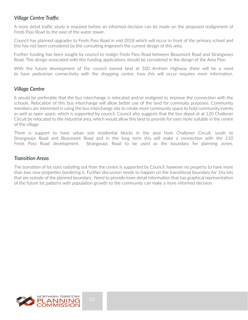#### *Village Centre Traffic*

A more detail traffic study is required before an informed decision can be made on the proposed realignment of Freds Pass Road to the east of the water tower.

Council has planned upgrades to Freds Pass Road in mid 2018 which will occur in front of the primary school and this has not been considered by the consulting engineers the current design of this area.

Further funding has been sought by council to realign Freds Pass Road between Beaumont Road and Strangways Road. This design associated with this funding applications should be considered in the design of the Area Plan.

With the future development of the council owned land at 320 Arnhem Highway there will be a need to have pedestrian connectivity with the shopping centre; how this will occur requires more information.

#### *Village Centre*

It would be preferable that the bus interchange is relocated and/or realigned to improve the connection with the schools. Relocation of this bus interchange will allow better use of the land for commuity purposes. Community members are interested in using the bus interchange site to create more community space to hold community events as well as open space, which is supported by council. Council also suggests that the bus depot at at 120 Challoner Circuit be relocated to the industrial area, which would allow this land to provide for uses more suitable in the centre of the village.

There is support to have urban size residential blocks in the area from Challoner Circuit, south to Strangways Road and Beaumont Road and in the long term this will make a connection with the 110 Freds Pass Road development. Strangways Road to be used as the boundary for planning zones.

#### *Transition Areas*

The transition of lot sizes radiating out from the centre is supported by Council, however no property to have more than two new properties bordering it. Further discussion needs to happen on the transitional boundary for 1ha lots that are outside of the planned boundary. Need to provide more detail information that has graphical representation of the future lot patterns with population growth so the community can make a more informed decision.

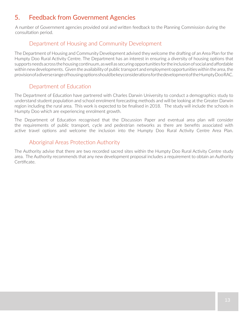## 5. Feedback from Government Agencies

A number of Government agencies provided oral and written feedback to the Planning Commission during the consultation period.

## Department of Housing and Community Development

The Department of Housing and Community Development advised they welcome the drafting of an Area Plan for the Humpty Doo Rural Activity Centre. The Department has an interest in ensuring a diversity of housing options that supports needs across the housing continuum, as well as securing opportunities for the inclusion of social and affordable within new developments. Given the availability of public transport and employment opportunities within the area, the provision of a diverse range of housing options should be key considerations for the development of the Humpty Doo RAC.

## Department of Education

The Department of Education have partnered with Charles Darwin University to conduct a demographics study to understand student population and school enrolment forecasting methods and will be looking at the Greater Darwin region including the rural area. This work is expected to be finalised in 2018. The study will include the schools in Humpty Doo which are experiencing enrolment growth.

The Department of Education recognised that the Discussion Paper and eventual area plan will consider the requirements of public transport, cycle and pedestrian networks as there are benefits associated with active travel options and welcome the inclusion into the Humpty Doo Rural Activity Centre Area Plan.

## Aboriginal Areas Protection Authority

The Authority advise that there are two recorded sacred sites within the Humpty Doo Rural Activity Centre study area. The Authority recommends that any new development proposal includes a requirement to obtain an Authority Certificate.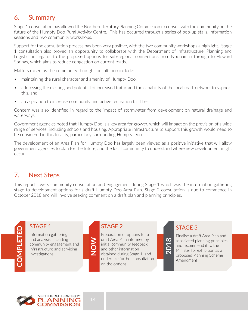## 6. Summary

Stage 1 consultation has allowed the Northern Territory Planning Commission to consult with the community on the future of the Humpty Doo Rural Activity Centre. This has occurred through a series of pop-up stalls, information sessions and two community workshops.

Support for the consultation process has been very positive, with the two community workshops a highlight. Stage 1 consultation also proved an opportunity to collaborate with the Department of Infrastructure, Planning and Logistics in regards to the proposed options for sub-regional connections from Noonamah through to Howard Springs, which aims to reduce congestion on current roads.

Matters raised by the community through consultation include:

- maintaining the rural character and amenity of Humpty Doo,
- addressing the existing and potential of increased traffic and the capability of the local road network to support this, and
- an aspiration to increase community and active recreation facilities.

Concern was also identified in regard to the impact of stormwater from development on natural drainage and waterways.

Government agencies noted that Humpty Doo is a key area for growth, which will impact on the provision of a wide range of services, including schools and housing. Appropriate infrastructure to support this growth would need to be considered in this locality, particularly surrounding Humpty Doo.

The development of an Area Plan for Humpty Doo has largely been viewed as a positive initiative that will allow government agencies to plan for the future, and the local community to understand where new development might occur.

## 7. Next Steps

This report covers community consultation and engagement during Stage 1 which was the information gathering stage to development options for a draft Humpty Doo Area Plan. Stage 2 consultation is due to commence in October 2018 and will involve seeking comment on a draft plan and planning principles.

# STAGE 1

**COMPLETED**

COMPLETED

Information gathering and analysis, including community engagement and infrastructure and servicing investigations.

## STAGE 2

Preparation of options for a draft Area Plan informed by initial community feedback and other information obtained during Stage 1, and undertake further consultation on the options

## STAGE 3



Finalise a draft Area Plan and associated planning principles and recommend it to the Minister for exhibition as a proposed Planning Scheme Amendment



**NOW**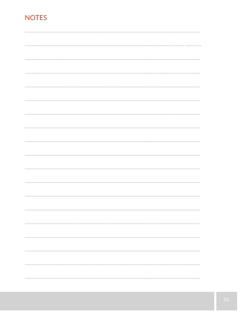## **NOTES**